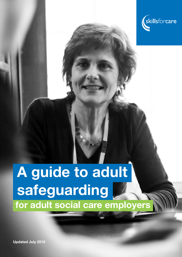

# A guide to adult safeguarding for adult social care employers

Updated July 2018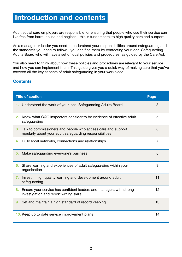## Introduction and contents

Adult social care employers are responsible for ensuring that people who use their service can live free from harm, abuse and neglect – this is fundamental to high quality care and support.

As a manager or leader you need to understand your responsibilities around safeguarding and the standards you need to follow – you can find them by contacting your local Safeguarding Adults Board who will have a set of local policies and procedures, as guided by the Care Act.

You also need to think about how these policies and procedures are relevant to your service and how you can implement them. This guide gives you a quick way of making sure that you've covered all the key aspects of adult safeguarding in your workplace.

#### **Contents**

| <b>Title of section</b>                                                                                                        | Page           |
|--------------------------------------------------------------------------------------------------------------------------------|----------------|
| Understand the work of your local Safeguarding Adults Board<br>1.                                                              | 3              |
| Know what CQC inspectors consider to be evidence of effective adult<br>2.<br>safeguarding                                      | 5              |
| Talk to commissioners and people who access care and support<br>3.<br>regularly about your adult safeguarding responsibilities | 6              |
| 4. Build local networks, connections and relationships                                                                         | $\overline{7}$ |
| Make safeguarding everyone's business<br>5.                                                                                    | 8              |
| Share learning and experiences of adult safeguarding within your<br>6.<br>organisation                                         | 9              |
| Invest in high quality learning and development around adult<br>7.<br>safeguarding                                             | 11             |
| Ensure your service has confident leaders and managers with strong<br>8.<br>investigation and report writing skills            | 12             |
| Set and maintain a high standard of record keeping<br>9.                                                                       | 13             |
| 10. Keep up to date service improvement plans                                                                                  | 14             |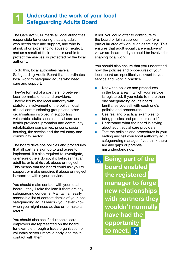#### 1 Understand the work of your local Safeguarding Adults Board

The Care Act 2014 made all local authorities responsible for ensuring that any adult who needs care and support, and who is at risk of or experiencing abuse or neglect, and as a result of their needs is unable to protect themselves, is protected by the local authority.

To do this, local authorities have a Safeguarding Adults Board that coordinates local work to safeguard adults who need care and support.

They're formed of a partnership between local commissioners and providers. They're led by the local authority with statutory involvement of the police, local clinical commissioning groups and other organisations involved in supporting vulnerable adults such as social care and health providers, probation and community rehabilitation companies, prisons, social housing, fire service and the voluntary and community sector.

The board develops policies and procedures that all partners sign up to and agree to implement. It's also required to investigate, or ensure others do so, if it believes that an adult is, or is at risk of, abuse or neglect. This means that the board could ask you to support or make enquires if abuse or neglect is reported within your service.

You should make contact with your local board – they'll take the lead if there are any safeguarding concerns. Maintain an easily accessible list of contact details of your local safeguarding adults leads - you never know when you might need advice or to make a referral.

You should also see if adult social care employers are represented on the board, for example through a trade organisation or voluntary sector umbrella body, and make contact with them.

If not, you could offer to contribute to the board or join a sub-committee for a particular area of work such as training. This ensures that adult social care employers' views are heard and you could be involved in shaping local work.

You should also ensure that you understand how the policies and procedures of your local board are specifically relevant to your service and work in practice.

- Know the policies and procedures in the local area in which your service is registered. If you relate to more than one safeguarding adults board familiarise yourself with each one's policies and procedures.
- Use real and practical examples to bring policies and procedures to life.
- Understand what the board is saying about adult social care providers.
- Test the policies and procedures in your setting and tell your local authority adult safeguarding manager if you think there are any gaps or potential misunderstandings.

 Being part of the board enabled the registered manager to forge new relationships with partners they wouldn't normally have had the opportunity to meet.  $\bigtriangledown$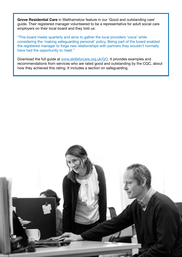Grove Residential Care in Walthamstow feature in our 'Good and outstanding care' guide. Their registered manager volunteered to be a representative for adult social care employers on their local board and they told us:

"This board meets quarterly and aims to gather the local providers 'voice' while considering the 'making safeguarding personal' policy. Being part of the board enabled the registered manager to forge new relationships with partners they wouldn't normally have had the opportunity to meet."

Download the full guide at www.skillsforcare.org.uk/GO. It provides examples and recommendations from services who are rated good and outstanding by the CQC, about how they achieved this rating. It includes a section on safeguarding.

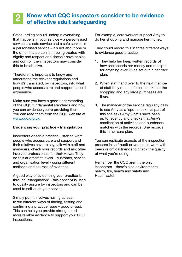#### 2 Know what CQC inspectors consider to be evidence of effective adult safeguarding

Safeguarding should underpin everything that happens in your service – a personalised service is a safe service and a safe service is a personalised service – it's not about one or the other. If a person isn't being treated with dignity and respect and doesn't have choice and control, then inspectors may consider this to be abusive.

Therefore it's important to know and understand the relevant regulations and how it's translated, by inspectors, into what people who access care and support should experience.

Make sure you have a good understanding of the CQC fundamental standards and how you can evidence you're providing them. You can read them from the CQC website at www.cqc.org.uk.

#### Evidencing your practice - triangulation

Inspectors observe practice, listen to what people who access care and support and their relatives have to say, talk with staff and managers, check your records and ask other involved professionals for their views. They do this at different levels – customer, service and organisation level - using different methods and sources of evidence.

A good way of evidencing your practice is through 'triangulation' – this concept is used to quality assure by inspectors and can be used to self-audit your service.

Simply put, it involves having at least three different ways of finding, testing and confirming a practice issue – good or bad. This can help you provide stronger and more reliable evidence to support your CQC inspections.

For example, care workers support Amy to do her shopping and manage her money.

They could record this in three different ways to evidence good practice.

- 1. They help her keep written records of how she spends her money and receipts for anything over £5 as set out in her care plan.
- 2. When staff hand over to the next member of staff they do an infomal check that the shopping and any large purchases are there.
- 3. The manager of the service regularly calls to see Amy as a 'spot check'; as part of this she asks Amy what's she's been up to recently and checks that Amy's recollection of activities and purchases matches with the records. She records this in her care plan.

You can replicate aspects of the inspection process in self-audit or you could work with peers or critical friends to check the quality of what you're doing.

Remember the CQC aren't the only inspectors – there's also environmental health, fire, health and safety and Healthwatch.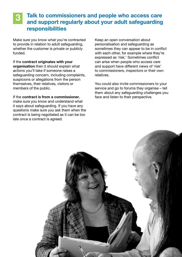## Talk to commissioners and people who access care and support regularly about your adult safeguarding responsibilities

Make sure you know what you're contracted to provide in relation to adult safeguarding, whether the customer is private or publicly funded.

If the contract originates with your organisation then it should explain what actions you'll take if someone raises a safeguarding concern, including complaints, suspicions or allegations from the person themselves, their relatives, visitors or members of the public.

If the contract is from a commissioner, make sure you know and understand what it says about safeguarding. If you have any questions make sure you ask them when the contract is being negotiated as it can be too late once a contract is agreed.

Keep an open conversation about personalisation and safeguarding as sometimes they can appear to be in conflict with each other, for example where they're expressed as 'risk.' Sometimes conflict can arise when people who access care and support have different views of 'risk' to commissioners, inspectors or their own relatives.

You could also invite commissioners to your service and go to forums they organise – tell them about any safeguarding challenges you face and listen to their perspective.

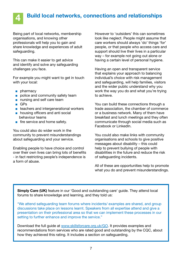

## Build local networks, connections and relationships

Being part of local networks, membership organisations, and knowing other professionals will help you to gain and share knowledge and experiences of adult safeguarding.

This can make it easier to get advice and identify and solve any safeguarding challenges you face.

For example you might want to get in touch with your local:

- pharmacy
- police and community safety team
- nursing and self care team
- GPs
- teachers and intergenerational workers
- housing officers and anti social behaviour teams
- fire service and home safety.

You could also do wider work in the community to prevent misunderstandings about safeguarding and your service.

Enabling people to have choice and control over their own lives can bring lots of benefits - in fact restricting people's independence is a form of abuse.

However to 'outsiders' this can sometimes look like neglect. People might assume that care workers should always 'do' things 'for' people, or that people who access care and support should live their lives in a particular way – for example not going out alone or having a certain level of personal hygiene.

Having an open and transparent service that explains your approach to balancing individual's choice with risk management and safeguarding, will help families, visitors and the wider public understand why you work the way you do and what you're trying to achieve.

You can build these connections through a trade association, the chamber of commerce or a business network. Many of them have breakfast and lunch meetings and they often communicate through social media such as Facebook or LinkedIn.

You could also make links with community organisations and schools to give positive messages about disability – this could help to prevent bullying of people with disabilities in the future and reduce the risk of safeguarding incidents.

All of these are opportunities help to promote what you do and prevent misunderstandings.

Simply Care (UK) feature in our 'Good and outstanding care' guide. They attend local forums to share knowledge and learning, and they told us:

"We attend safeguarding team forums where incidents/ examples are shared, and group discussions take place on lessons learnt. Speakers from all expertise attend and give a presentation on their professional area so that we can implement these processes in our setting to further enhance and improve the service."

Download the full guide at www.skillsforcare.org.uk/GO. It provides examples and recommendations from services who are rated good and outstanding by the CQC, about how they achieved this rating. It includes a section on safeguarding.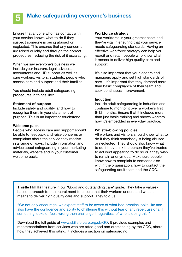

## Make safeguarding everyone's business

Ensure that anyone who has contact with your service knows what to do if they suspect someone is being abused or neglected. This ensures that any concerns are raised quickly and through the correct procedures, reducing the risk of it escalating.

When we say everyone's business we include your insurers, legal advisers, accountants and HR support as well as care workers, visitors, students, people who access care and support and their families.

You should include adult safeguarding procedures in things like:

#### Statement of purpose

Include safety and quality, and how to recognise them, in your statement of purpose. This is an important touchstone.

#### Welcome pack

People who access care and support should be able to feedback and raise concerns or complaints about the service they receive in a range of ways. Include information and advice about safeguarding in your marketing materials, website and in your customer welcome pack.

#### Workforce strategy

Your workforce is your greatest asset and they're vital in ensuring that your service meets safeguarding standards. Having an effective workforce strategy can help you recruit and retain people who know what it means to deliver high quality care and support.

It's also important that your leaders and managers apply and set high standards of care – it's important that they demand more than basic compliance of their team and seek continuous improvement.

#### Induction

Include adult safeguarding in induction and continue to monitor it over a worker's first 6-12 months. Ensure that it includes more than just basic training and shows workers how it's embedded in everyday practice.

#### Whistle-blowing policies

All workers and visitors should know what to do if they think somebody is being abused or neglected. They should also know what to do if they think the person they've trusted to act isn't appearing to do so or if they wish to remain anonymous. Make sure people know how to complain to someone else within the organisation, how to contact the safeguarding adult team and the CQC.

Thistle Hill Hall feature in our 'Good and outstanding care' guide. They take a valuesbased approach to their recruitment to ensure that their workers understand what it means to deliver high quality care and support. They told us:

"We not only encourage, we expect staff to be aware of what bad practice looks like and also have the confidence and ability to challenge this without fear of any repercussions. If something looks or feels wrong then challenge it regardless of who is doing this."

Download the full guide at www.skillsforcare.org.uk/GO. It provides examples and recommendations from services who are rated good and outstanding by the CQC, about how they achieved this rating. It includes a section on safeguarding.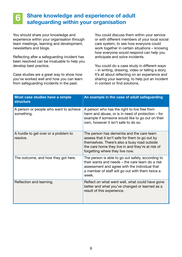#### 6 Share knowledge and experience of adult safeguarding within your organisation

You should share your knowledge and experience within your organisation through team meetings, learning and development, newsletters and blogs.

Reflecting after a safeguarding incident has been resolved can be invaluable to help you develop best practice.

Case studies are a great way to show how you've worked well and how you can learn from safeguarding incidents in the past.

You could discuss them within your service or with different members of your local social care system, to see how everyone could work together in certain situations – knowing how everyone would respond can help you anticipate and solve incidents.

You could do a case study in different ways – in writing, drawing, video or telling a story. It's all about reflecting on an experience and sharing your learning, to help put an incident in context or find solutions.

| Most case studies have a simple<br><b>structure</b>  | An example in the case of adult safeguarding                                                                                                                                                                                         |
|------------------------------------------------------|--------------------------------------------------------------------------------------------------------------------------------------------------------------------------------------------------------------------------------------|
| A person or people who want to achieve<br>something. | A person who has the right to live free from<br>harm and abuse, or is in need of protection – for<br>example if someone would like to go out on their<br>own, however it isn't safe to do so.                                        |
| A hurdle to get over or a problem to<br>resolve.     | The person has dementia and the care team<br>assess that it isn't safe for them to go out by<br>themselves. There's also a busy road outside<br>the care home they live in and they're at risk of<br>forgetting where they live now. |
| The outcome, and how they got here.                  | The person is able to go out safely, according to<br>their wants and needs – the care team do a risk<br>assessment and agree with the individual that<br>a member of staff will go out with them twice a<br>week.                    |
| Reflection and learning.                             | Reflect on what went well, what could have gone<br>better and what you've changed or learned as a<br>result of this experience.                                                                                                      |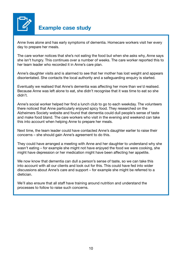

## Example case study

Anne lives alone and has early symptoms of dementia. Homecare workers visit her every day to prepare her meals.

The care worker notices that she's not eating the food but when she asks why, Anne says she isn't hungry. This continues over a number of weeks. The care worker reported this to her team leader who recorded it in Anne's care plan.

Anne's daughter visits and is alarmed to see that her mother has lost weight and appears disorientated. She contacts the local authority and a safeguarding enquiry is started.

Eventually we realised that Anne's dementia was affecting her more than we'd realised. Because Anne was left alone to eat, she didn't recognise that it was time to eat so she didn't.

Anne's social worker helped her find a lunch club to go to each weekday. The volunteers there noticed that Anne particularly enjoyed spicy food. They researched on the Alzheimers Society website and found that dementia could dull people's sense of taste and make food bland. The care workers who visit in the evening and weekend can take this into account when helping Anne to prepare her meals.

Next time, the team leader could have contacted Anne's daughter earlier to raise their concerns – she should gain Anne's agreement to do this.

They could have arranged a meeting with Anne and her daughter to understand why she wasn't eating – for example she might not have enjoyed the food we were cooking, she might have depression or her medication might have been affecting her appetite.

We now know that dementia can dull a person's sense of taste, so we can take this into account with all our clients and look out for this. This could have fed into wider discussions about Anne's care and support – for example she might be referred to a dietician.

We'll also ensure that all staff have training around nutrition and understand the processes to follow to raise such concerns.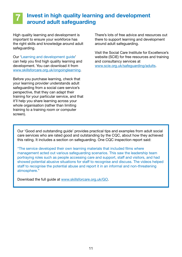#### 7 Invest in high quality learning and development around adult safeguarding

High quality learning and development is important to ensure your workforce has the right skills and knowledge around adult safeguarding.

Our '[Learning and development guide](http://www.skillsforcare.org.uk/ongoinglearning)' can help you find high quality learning and development. You can download it from [www.skillsforcare.org.uk/ongoinglearning](http://www.skillsforcare.org.uk/ongoinglearning).

Before you purchase learning, check that your learning provider understands adult safeguarding from a social care service's perspective, that they can adapt their training for your particular service, and that it'll help you share learning across your whole organisation (rather than limiting training to a training room or computer screen).

There's lots of free advice and resources out there to support learning and development around adult safeguarding.

Visit the Social Care Institute for Excellence's website (SCIE) for free resources and training and consultancy services at [www.scie.org.uk/safeguarding/adults](http://www.scie.org.uk/safeguarding/adults).

Our 'Good and outstanding guide' provides practical tips and examples from adult social care services who are rated good and outstanding by the CQC, about how they achieved this rating. It includes a section on safeguarding. One CQC inspection report said:

"The service developed their own learning materials that included films where management acted out various safeguarding scenarios. This saw the leadership team portraying roles such as people accessing care and support, staff and visitors, and had showed potential abusive situations for staff to recognise and discuss. The videos helped staff to recognise the potential abuse and report it in an informal and non-threatening atmosphere."

Download the full guide at www.skillsforcare.org.uk/GO.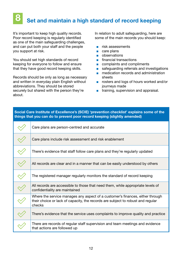### 8 Set and maintain a high standard of record keeping

It's important to keep high quality records. Poor record keeping is regularly identified as one of the main safeguarding challenges, and can put both your staff and the people you support at risk.

You should set high standards of record keeping for everyone to follow and ensure that they have good record keeping skills.

Records should be only as long as necessary and written in everyday plain English without abbreviations. They should be stored securely but shared with the person they're about.

In relation to adult safeguarding, here are some of the main records you should keep:

- risk assessments
- care plans
- observations
- financial transactions
- complaints and compliments
- safeguarding referrals and investigations
- medication records and administration sheets
- rosters and logs of hours worked and/or journeys made
- training, supervision and appraisal.

| Social Care Institute of Excellence's (SCIE) 'prevention checklist' explains some of the<br>things that you can do to prevent poor record keeping (slightly amended) |                                                                                                                                                                            |  |
|----------------------------------------------------------------------------------------------------------------------------------------------------------------------|----------------------------------------------------------------------------------------------------------------------------------------------------------------------------|--|
|                                                                                                                                                                      | Care plans are person-centred and accurate                                                                                                                                 |  |
|                                                                                                                                                                      | Care plans include risk assessment and risk enablement                                                                                                                     |  |
|                                                                                                                                                                      | There's evidence that staff follow care plans and they're regularly updated                                                                                                |  |
|                                                                                                                                                                      | All records are clear and in a manner that can be easily understood by others                                                                                              |  |
|                                                                                                                                                                      | The registered manager regularly monitors the standard of record keeping                                                                                                   |  |
|                                                                                                                                                                      | All records are accessible to those that need them, while appropriate levels of<br>confidentiality are maintained                                                          |  |
|                                                                                                                                                                      | Where the service manages any aspect of a customer's finances, either through<br>their choice or lack of capacity, the records are subject to robust and regular<br>checks |  |
|                                                                                                                                                                      | There's evidence that the service uses complaints to improve quality and practice                                                                                          |  |
|                                                                                                                                                                      | There are records of regular staff supervision and team meetings and evidence<br>that actions are followed up                                                              |  |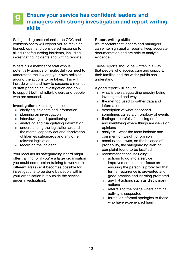#### 9 Ensure your service has confident leaders and managers with strong investigation and report writing skills

Safeguarding professionals, the CQC and commissioners will expect you to make an honest, open and considered response to all adult safeguarding incidents, including investigating incidents and writing reports.

Where it's a member of staff who is potentially abusive or neglectful you need to understand the law and your own policies around the actions to be taken. This will include when and how to suspend a member of staff pending an investigation and how to support both whistle-blowers and people who are accused.

Investigation skills might include:

- clarifying incidents and information
- planning an investigation
- interviewing and questioning
- analysing and triangulating information
- understanding the legislation around the mental capacity act and deprivation of liberties safeguards and any other relevant legislation
- recording the incident.

Your local adults safeguarding board might offer training, or if you're a large organisation you could commission training to workers in different areas (so it becomes possible for investigations to be done by people within your organisation but outside the service under investigation).

#### Report writing skills

It's important that leaders and managers can write high quality reports, keep accurate documentation and are able to analyse evidence.

These reports should be written in a way that people who access care and support, their families and the wider public can understand.

A good report will include:

- what is the safeguarding enquiry being investigated and why
- the method used to gather data and information
- description of what happened sometimes called a chronology of events
- findings carefully focussing on facts and identifying where things are views or opinions
- $\blacksquare$  analysis what the facts indicate and comment on weight of opinion
- conclusions was, on the balance of probability, the safeguarding alert or complaint found to be justified
- recommendations including:
	- actions to go into a service improvement plan that focus on ensuring the person is protected,that further recurrence is prevented and good practice and learning promoted
	- any HR actions such as disciplinary actions
	- referrals to the police where criminal activity is suspected
	- formal or informal apologies to those who have experienced harm.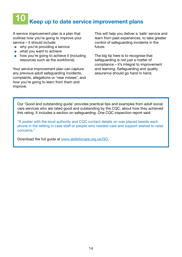## 10 Keep up to date service improvement plans

A service improvement plan is a plan that outlines how you're going to improve your service – it should include:

- why you're providing a service
- what you want to achieve
- how you're going to achieve it (including resources such as the workforce).

Your service improvement plan can capture any previous adult safeguarding incidents, complaints, allegations or 'near misses', and how you're going to learn from them and improve.

This will help you deliver a 'safe' service and learn from past experiences, to take greater control of safeguarding incidents in the future.

The big tip here is to recognise that safeguarding is not just a matter of compliance – it's integral to improvement and learning. Safeguarding and quality assurance should go hand in hand.

Our 'Good and outstanding guide' provides practical tips and examples from adult social care services who are rated good and outstanding by the CQC, about how they achieved this rating. It includes a section on safeguarding. One CQC inspection report said:

"A poster with the local authority and CQC contact details on was placed beside each phone in the setting in case staff or people who needed care and support wished to raise concerns."

Download the full guide at www.skillsforcare.org.uk/GO.